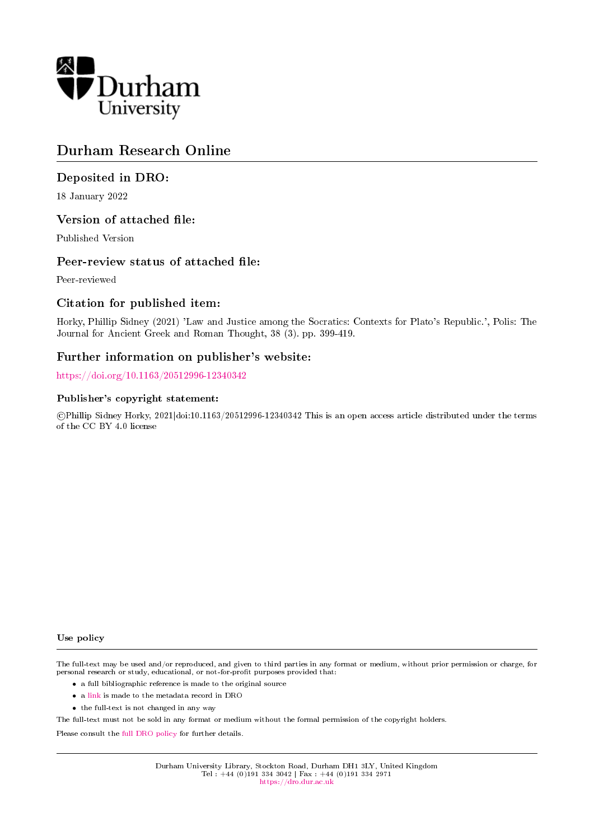

# Durham Research Online

# Deposited in DRO:

18 January 2022

# Version of attached file:

Published Version

## Peer-review status of attached file:

Peer-reviewed

# Citation for published item:

Horky, Phillip Sidney (2021) 'Law and Justice among the Socratics: Contexts for Plato's Republic.', Polis: The Journal for Ancient Greek and Roman Thought, 38 (3). pp. 399-419.

## Further information on publisher's website:

<https://doi.org/10.1163/20512996-12340342>

## Publisher's copyright statement:

 c Phillip Sidney Horky, 2021|doi:10.1163/20512996-12340342 This is an open access article distributed under the terms of the CC BY 4.0 license

Use policy

The full-text may be used and/or reproduced, and given to third parties in any format or medium, without prior permission or charge, for personal research or study, educational, or not-for-profit purposes provided that:

- a full bibliographic reference is made to the original source
- a [link](http://dro.dur.ac.uk/33426/) is made to the metadata record in DRO
- the full-text is not changed in any way

The full-text must not be sold in any format or medium without the formal permission of the copyright holders.

Please consult the [full DRO policy](https://dro.dur.ac.uk/policies/usepolicy.pdf) for further details.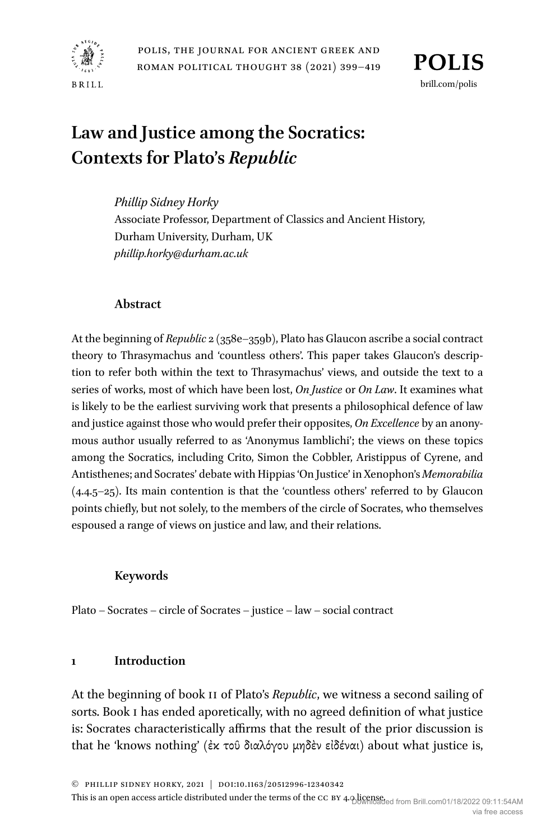

# **Law and Justice among the Socratics: Contexts for Plato's** *Republic*

*Phillip Sidney Horky* Associate Professor, Department of Classics and Ancient History, Durham University, Durham, UK *[phillip.horky@durham.ac.uk](mailto:phillip.horky@durham.ac.uk)*

### **Abstract**

At the beginning of *Republic* 2 (358e–359b), Plato has Glaucon ascribe a social contract theory to Thrasymachus and 'countless others'. This paper takes Glaucon's description to refer both within the text to Thrasymachus' views, and outside the text to a series of works, most of which have been lost, *On Justice* or *On Law*. It examines what is likely to be the earliest surviving work that presents a philosophical defence of law and justice against those who would prefer their opposites, *On Excellence* by an anonymous author usually referred to as 'Anonymus Iamblichi'; the views on these topics among the Socratics, including Crito, Simon the Cobbler, Aristippus of Cyrene, and Antisthenes; and Socrates' debate with Hippias 'On Justice' in Xenophon's *Memorabilia* (4.4.5–25). Its main contention is that the 'countless others' referred to by Glaucon points chiefly, but not solely, to the members of the circle of Socrates, who themselves espoused a range of views on justice and law, and their relations.

### **Keywords**

Plato – Socrates – circle of Socrates – justice – law – social contract

### **1 Introduction**

At the beginning of book II of Plato's *Republic*, we witness a second sailing of sorts. Book I has ended aporetically, with no agreed definition of what justice is: Socrates characteristically affirms that the result of the prior discussion is that he 'knows nothing' (ἐκ τοῦ διαλόγου μηδὲν εἰδέναι) about what justice is,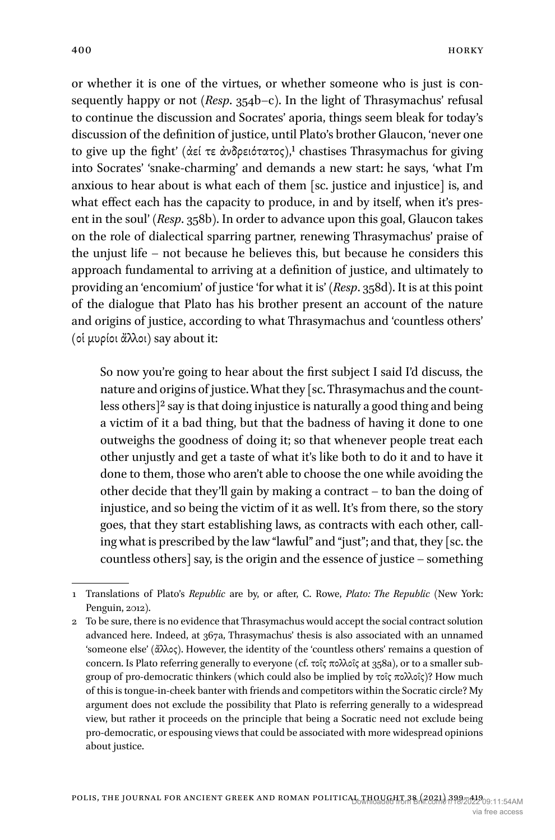or whether it is one of the virtues, or whether someone who is just is consequently happy or not (*Resp*. 354b–c). In the light of Thrasymachus' refusal to continue the discussion and Socrates' aporia, things seem bleak for today's discussion of the definition of justice, until Plato's brother Glaucon, 'never one to give up the fight' (ἀεί τε ἀνδρειότατος),<sup>1</sup> chastises Thrasymachus for giving into Socrates' 'snake-charming' and demands a new start: he says, 'what I'm anxious to hear about is what each of them [sc. justice and injustice] is, and what effect each has the capacity to produce, in and by itself, when it's present in the soul' (*Resp*. 358b). In order to advance upon this goal, Glaucon takes on the role of dialectical sparring partner, renewing Thrasymachus' praise of the unjust life – not because he believes this, but because he considers this approach fundamental to arriving at a definition of justice, and ultimately to providing an 'encomium' of justice 'for what it is' (*Resp*. 358d). It is at this point of the dialogue that Plato has his brother present an account of the nature and origins of justice, according to what Thrasymachus and 'countless others' (οἱ μυρίοι ἄλλοι) say about it:

So now you're going to hear about the first subject I said I'd discuss, the nature and origins of justice. What they [sc. Thrasymachus and the countless others<sup>[2</sup> say is that doing injustice is naturally a good thing and being a victim of it a bad thing, but that the badness of having it done to one outweighs the goodness of doing it; so that whenever people treat each other unjustly and get a taste of what it's like both to do it and to have it done to them, those who aren't able to choose the one while avoiding the other decide that they'll gain by making a contract – to ban the doing of injustice, and so being the victim of it as well. It's from there, so the story goes, that they start establishing laws, as contracts with each other, calling what is prescribed by the law "lawful" and "just"; and that, they [sc. the countless others] say, is the origin and the essence of justice – something

<sup>1</sup> Translations of Plato's *Republic* are by, or after, C. Rowe, *Plato: The Republic* (New York: Penguin, 2012).

<sup>2</sup> To be sure, there is no evidence that Thrasymachus would accept the social contract solution advanced here. Indeed, at 367a, Thrasymachus' thesis is also associated with an unnamed 'someone else' (ἄλλος). However, the identity of the 'countless others' remains a question of concern. Is Plato referring generally to everyone (cf. τοῖς πολλοῖς at 358a), or to a smaller subgroup of pro-democratic thinkers (which could also be implied by τοῖς πολλοῖς)? How much of this is tongue-in-cheek banter with friends and competitors within the Socratic circle? My argument does not exclude the possibility that Plato is referring generally to a widespread view, but rather it proceeds on the principle that being a Socratic need not exclude being pro-democratic, or espousing views that could be associated with more widespread opinions about justice.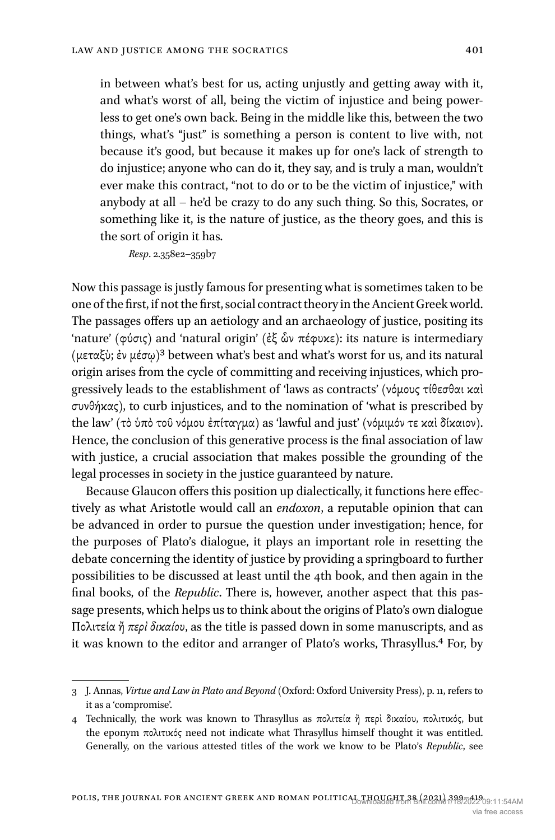in between what's best for us, acting unjustly and getting away with it, and what's worst of all, being the victim of injustice and being powerless to get one's own back. Being in the middle like this, between the two things, what's "just" is something a person is content to live with, not because it's good, but because it makes up for one's lack of strength to do injustice; anyone who can do it, they say, and is truly a man, wouldn't ever make this contract, "not to do or to be the victim of injustice," with anybody at all – he'd be crazy to do any such thing. So this, Socrates, or something like it, is the nature of justice, as the theory goes, and this is the sort of origin it has.

*Resp*. 2.358e2–359b7

Now this passage is justly famous for presenting what is sometimes taken to be one of the first, if not the first, social contract theory in the Ancient Greek world. The passages offers up an aetiology and an archaeology of justice, positing its 'nature' (φύσις) and 'natural origin' (ἐξ ὧν πέφυκε): its nature is intermediary (μεταξὺ; ἐν μέσῳ)<sup>3</sup> between what's best and what's worst for us, and its natural origin arises from the cycle of committing and receiving injustices, which progressively leads to the establishment of 'laws as contracts' (νόμους τίθεσθαι καὶ συνθήκας), to curb injustices, and to the nomination of 'what is prescribed by the law' (τὸ ὑπὸ τοῦ νόμου ἐπίταγμα) as 'lawful and just' (νόμιμόν τε καὶ δίκαιον). Hence, the conclusion of this generative process is the final association of law with justice, a crucial association that makes possible the grounding of the legal processes in society in the justice guaranteed by nature.

Because Glaucon offers this position up dialectically, it functions here effectively as what Aristotle would call an *endoxon*, a reputable opinion that can be advanced in order to pursue the question under investigation; hence, for the purposes of Plato's dialogue, it plays an important role in resetting the debate concerning the identity of justice by providing a springboard to further possibilities to be discussed at least until the 4th book, and then again in the final books, of the *Republic*. There is, however, another aspect that this passage presents, which helps us to think about the origins of Plato's own dialogue Πολιτεία ἤ *περὶ δικαίου*, as the title is passed down in some manuscripts, and as it was known to the editor and arranger of Plato's works, Thrasyllus.4 For, by

<sup>3</sup> J. Annas, *Virtue and Law in Plato and Beyond* (Oxford: Oxford University Press), p. 11, refers to it as a 'compromise'.

<sup>4</sup> Technically, the work was known to Thrasyllus as πολιτεία ἢ περὶ δικαίου, πολιτικός, but the eponym πολιτικός need not indicate what Thrasyllus himself thought it was entitled. Generally, on the various attested titles of the work we know to be Plato's *Republic*, see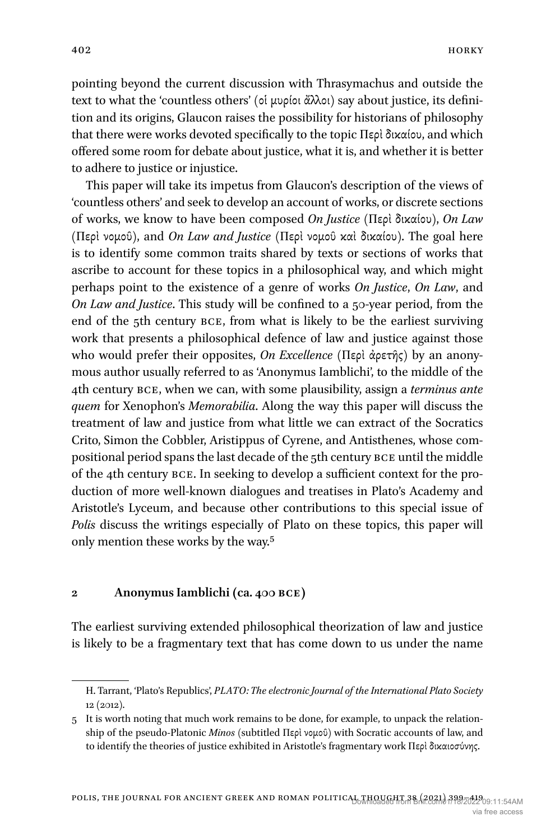pointing beyond the current discussion with Thrasymachus and outside the text to what the 'countless others' (οἱ μυρίοι ἄλλοι) say about justice, its definition and its origins, Glaucon raises the possibility for historians of philosophy that there were works devoted specifically to the topic Περὶ δικαίου, and which offered some room for debate about justice, what it is, and whether it is better to adhere to justice or injustice.

This paper will take its impetus from Glaucon's description of the views of 'countless others' and seek to develop an account of works, or discrete sections of works, we know to have been composed *On Justice* (Περὶ δικαίου), *On Law* (Περὶ νομοῦ), and *On Law and Justice* (Περὶ νομοῦ καὶ δικαίου). The goal here is to identify some common traits shared by texts or sections of works that ascribe to account for these topics in a philosophical way, and which might perhaps point to the existence of a genre of works *On Justice*, *On Law*, and *On Law and Justice*. This study will be confined to a 50-year period, from the end of the 5th century BCE, from what is likely to be the earliest surviving work that presents a philosophical defence of law and justice against those who would prefer their opposites, *On Excellence* (Περὶ ἀρετῆς) by an anonymous author usually referred to as 'Anonymus Iamblichi', to the middle of the 4th century BCE, when we can, with some plausibility, assign a *terminus ante quem* for Xenophon's *Memorabilia*. Along the way this paper will discuss the treatment of law and justice from what little we can extract of the Socratics Crito, Simon the Cobbler, Aristippus of Cyrene, and Antisthenes, whose compositional period spans the last decade of the 5th century BCE until the middle of the 4th century BCE. In seeking to develop a sufficient context for the production of more well-known dialogues and treatises in Plato's Academy and Aristotle's Lyceum, and because other contributions to this special issue of *Polis* discuss the writings especially of Plato on these topics, this paper will only mention these works by the way.5

#### **2 Anonymus Iamblichi (ca. 400 BCE)**

The earliest surviving extended philosophical theorization of law and justice is likely to be a fragmentary text that has come down to us under the name

H. Tarrant, 'Plato's Republics', *PLATO: The electronic Journal of the International Plato Society* 12 (2012).

<sup>5</sup> It is worth noting that much work remains to be done, for example, to unpack the relationship of the pseudo-Platonic *Minos* (subtitled Περὶ νομοῦ) with Socratic accounts of law, and to identify the theories of justice exhibited in Aristotle's fragmentary work Περὶ δικαιοσύνης.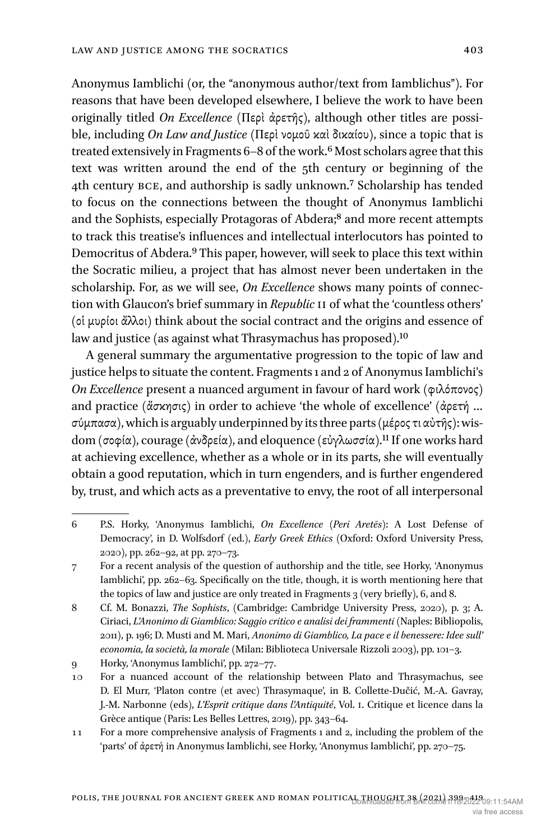Anonymus Iamblichi (or, the "anonymous author/text from Iamblichus"). For reasons that have been developed elsewhere, I believe the work to have been originally titled *On Excellence* (Περὶ ἀρετῆς), although other titles are possible, including *On Law and Justice* (Περὶ νομοῦ καὶ δικαίου), since a topic that is treated extensively in Fragments 6–8 of the work.<sup>6</sup> Most scholars agree that this text was written around the end of the 5th century or beginning of the 4th century BCE, and authorship is sadly unknown.7 Scholarship has tended to focus on the connections between the thought of Anonymus Iamblichi and the Sophists, especially Protagoras of Abdera;<sup>8</sup> and more recent attempts to track this treatise's influences and intellectual interlocutors has pointed to Democritus of Abdera.<sup>9</sup> This paper, however, will seek to place this text within the Socratic milieu, a project that has almost never been undertaken in the scholarship. For, as we will see, *On Excellence* shows many points of connection with Glaucon's brief summary in *Republic*II of what the 'countless others' (οἱ μυρίοι ἄλλοι) think about the social contract and the origins and essence of law and justice (as against what Thrasymachus has proposed).<sup>10</sup>

A general summary the argumentative progression to the topic of law and justice helps to situate the content. Fragments 1 and 2 of Anonymus Iamblichi's *On Excellence* present a nuanced argument in favour of hard work (φιλόπονος) and practice (ἄσκησις) in order to achieve 'the whole of excellence' (ἀρετή … σύμπασα), which is arguably underpinned by its three parts (μέρος τι αὐτῆς): wisdom (σοφία), courage (ἀνδρεία), and eloquence (εὐγλωσσία).11 If one works hard at achieving excellence, whether as a whole or in its parts, she will eventually obtain a good reputation, which in turn engenders, and is further engendered by, trust, and which acts as a preventative to envy, the root of all interpersonal

11 For a more comprehensive analysis of Fragments 1 and 2, including the problem of the 'parts' of ἀρετή in Anonymus Iamblichi, see Horky, 'Anonymus Iamblichi', pp. 270–75.

<sup>6</sup> P.S. Horky, 'Anonymus Iamblichi, *On Excellence* (*Peri Aretēs*): A Lost Defense of Democracy', in D. Wolfsdorf (ed.), *Early Greek Ethics* (Oxford: Oxford University Press, 2020), pp. 262–92, at pp. 270–73.

<sup>7</sup> For a recent analysis of the question of authorship and the title, see Horky, 'Anonymus Iamblichi', pp. 262–63. Specifically on the title, though, it is worth mentioning here that the topics of law and justice are only treated in Fragments 3 (very briefly), 6, and 8.

<sup>8</sup> Cf. M. Bonazzi, *The Sophists*, (Cambridge: Cambridge University Press, 2020), p. 3; A. Ciriaci, *L'Anonimo di Giamblico: Saggio critico e analisi dei frammenti* (Naples: Bibliopolis, 2011), p. 196; D. Musti and M. Mari, *Anonimo di Giamblico, La pace e il benessere: Idee sull' economia, la società, la morale* (Milan: Biblioteca Universale Rizzoli 2003), pp. 101–3.

<sup>9</sup> Horky, 'Anonymus Iamblichi', pp. 272–77.

<sup>10</sup> For a nuanced account of the relationship between Plato and Thrasymachus, see D. El Murr, 'Platon contre (et avec) Thrasymaque', in B. Collette-Dučić, M.-A. Gavray, J.-M. Narbonne (eds), *L'Esprit critique dans l'Antiquité*, Vol. I. Critique et licence dans la Grèce antique (Paris: Les Belles Lettres, 2019), pp. 343–64.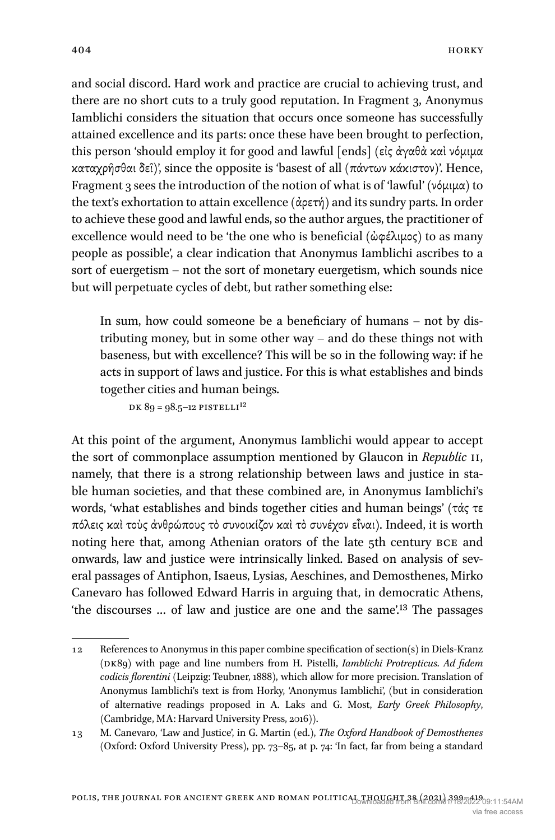and social discord. Hard work and practice are crucial to achieving trust, and there are no short cuts to a truly good reputation. In Fragment 3, Anonymus Iamblichi considers the situation that occurs once someone has successfully attained excellence and its parts: once these have been brought to perfection, this person 'should employ it for good and lawful [ends] (εἰς ἀγαθὰ καὶ νόμιμα καταχρῆσθαι δεῖ)', since the opposite is 'basest of all (πάντων κάκιστον)'. Hence, Fragment 3 sees the introduction of the notion of what is of 'lawful' (νόμιμα) to the text's exhortation to attain excellence (ἀρετή) and its sundry parts. In order to achieve these good and lawful ends, so the author argues, the practitioner of excellence would need to be 'the one who is beneficial  $(\omega \varphi \in \lambda \cup \alpha)$  to as many people as possible', a clear indication that Anonymus Iamblichi ascribes to a sort of euergetism – not the sort of monetary euergetism, which sounds nice but will perpetuate cycles of debt, but rather something else:

In sum, how could someone be a beneficiary of humans – not by distributing money, but in some other way – and do these things not with baseness, but with excellence? This will be so in the following way: if he acts in support of laws and justice. For this is what establishes and binds together cities and human beings.

```
DK 89 = 98.5 - 12 PISTELLI<sup>12</sup>
```
At this point of the argument, Anonymus Iamblichi would appear to accept the sort of commonplace assumption mentioned by Glaucon in *Republic* II, namely, that there is a strong relationship between laws and justice in stable human societies, and that these combined are, in Anonymus Iamblichi's words, 'what establishes and binds together cities and human beings' (τάς τε πόλεις καὶ τοὺς ἀνθρώπους τὸ συνοικίζον καὶ τὸ συνέχον εἶναι). Indeed, it is worth noting here that, among Athenian orators of the late 5th century BCE and onwards, law and justice were intrinsically linked. Based on analysis of several passages of Antiphon, Isaeus, Lysias, Aeschines, and Demosthenes, Mirko Canevaro has followed Edward Harris in arguing that, in democratic Athens, 'the discourses … of law and justice are one and the same'.13 The passages

<sup>12</sup> References to Anonymus in this paper combine specification of section(s) in Diels-Kranz (DK89) with page and line numbers from H. Pistelli, *Iamblichi Protrepticus. Ad fidem codicis florentini* (Leipzig: Teubner, 1888), which allow for more precision. Translation of Anonymus Iamblichi's text is from Horky, 'Anonymus Iamblichi', (but in consideration of alternative readings proposed in A. Laks and G. Most, *Early Greek Philosophy*, (Cambridge, MA: Harvard University Press, 2016)).

<sup>13</sup> M. Canevaro, 'Law and Justice', in G. Martin (ed.), *The Oxford Handbook of Demosthenes* (Oxford: Oxford University Press), pp. 73–85, at p. 74: 'In fact, far from being a standard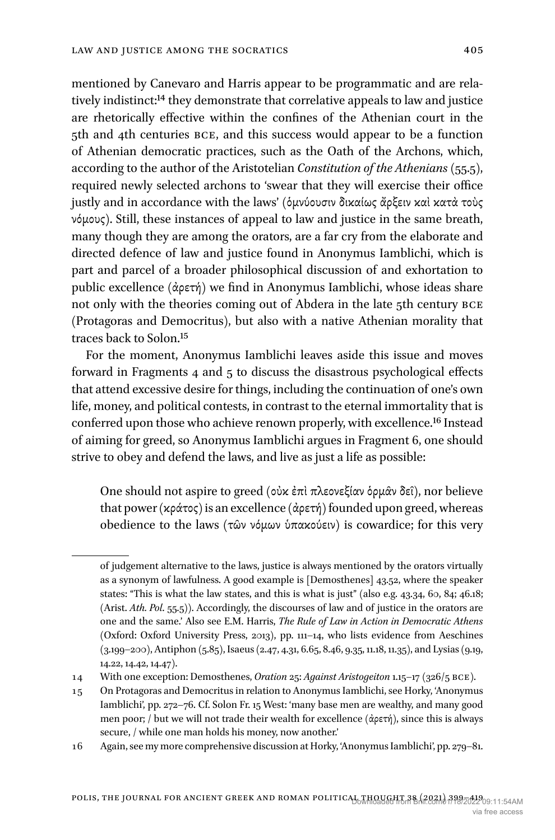mentioned by Canevaro and Harris appear to be programmatic and are relatively indistinct:14 they demonstrate that correlative appeals to law and justice are rhetorically effective within the confines of the Athenian court in the 5th and 4th centuries BCE, and this success would appear to be a function of Athenian democratic practices, such as the Oath of the Archons, which, according to the author of the Aristotelian *Constitution of the Athenians* (55.5), required newly selected archons to 'swear that they will exercise their office justly and in accordance with the laws' (ὁμνύουσιν δικαίως ἄρξειν καὶ κατὰ τοὺς νόμους). Still, these instances of appeal to law and justice in the same breath, many though they are among the orators, are a far cry from the elaborate and directed defence of law and justice found in Anonymus Iamblichi, which is part and parcel of a broader philosophical discussion of and exhortation to public excellence (ἀρετή) we find in Anonymus Iamblichi, whose ideas share not only with the theories coming out of Abdera in the late 5th century BCE (Protagoras and Democritus), but also with a native Athenian morality that traces back to Solon.15

For the moment, Anonymus Iamblichi leaves aside this issue and moves forward in Fragments 4 and 5 to discuss the disastrous psychological effects that attend excessive desire for things, including the continuation of one's own life, money, and political contests, in contrast to the eternal immortality that is conferred upon those who achieve renown properly, with excellence.16 Instead of aiming for greed, so Anonymus Iamblichi argues in Fragment 6, one should strive to obey and defend the laws, and live as just a life as possible:

One should not aspire to greed (οὐκ ἐπὶ πλεονεξίαν ὁρμᾶν δεῖ), nor believe that power (κράτος) is an excellence (ἀρετή) founded upon greed, whereas obedience to the laws (τῶν νόμων ὑπακούειν) is cowardice; for this very

of judgement alternative to the laws, justice is always mentioned by the orators virtually as a synonym of lawfulness. A good example is [Demosthenes] 43.52, where the speaker states: "This is what the law states, and this is what is just" (also e.g. 43.34, 60, 84; 46.18; (Arist. *Ath. Pol*. 55.5)). Accordingly, the discourses of law and of justice in the orators are one and the same.' Also see E.M. Harris, *The Rule of Law in Action in Democratic Athens* (Oxford: Oxford University Press, 2013), pp. 111–14, who lists evidence from Aeschines (3.199–200), Antiphon (5.85), Isaeus (2.47, 4.31, 6.65, 8.46, 9.35, 11.18, 11.35), and Lysias (9.19, 14.22, 14.42, 14.47).

<sup>14</sup> With one exception: Demosthenes, *Oration* 25: *Against Aristogeiton* 1.15–17 (326/5 BCE).

<sup>15</sup> On Protagoras and Democritus in relation to Anonymus Iamblichi, see Horky, 'Anonymus Iamblichi', pp. 272–76. Cf. Solon Fr. 15 West: 'many base men are wealthy, and many good men poor; / but we will not trade their wealth for excellence (ἀρετή), since this is always secure, / while one man holds his money, now another.'

<sup>16</sup> Again, see my more comprehensive discussion at Horky, 'Anonymus Iamblichi', pp. 279–81.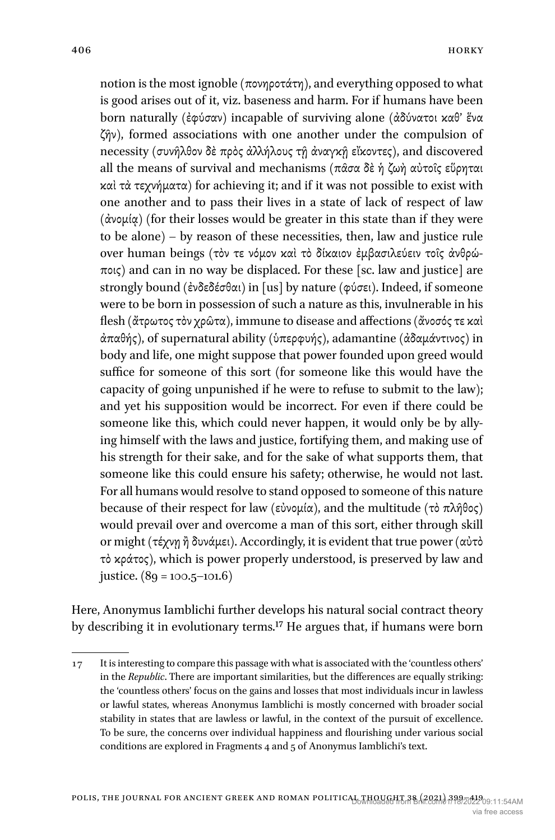notion is the most ignoble (πονηροτάτη), and everything opposed to what is good arises out of it, viz. baseness and harm. For if humans have been born naturally (ἐφύσαν) incapable of surviving alone (ἀδύνατοι καθ' ἕνα ζῆν), formed associations with one another under the compulsion of necessity (συνῆλθον δὲ πρὸς ἀλλήλους τῇ ἀναγκῇ εἴκοντες), and discovered all the means of survival and mechanisms (πᾶσα δὲ ἡ ζωὴ αὐτοῖς εὕρηται καὶ τὰ τεχνήματα) for achieving it; and if it was not possible to exist with one another and to pass their lives in a state of lack of respect of law (ἀνομίᾳ) (for their losses would be greater in this state than if they were to be alone) – by reason of these necessities, then, law and justice rule over human beings (τὸν τε νόμον καὶ τὸ δίκαιον ἐμβασιλεύειν τοῖς ἀνθρώποις) and can in no way be displaced. For these [sc. law and justice] are strongly bound (ἐνδεδέσθαι) in [us] by nature (φύσει). Indeed, if someone were to be born in possession of such a nature as this, invulnerable in his flesh (ἄτρωτος τὸν χρῶτα), immune to disease and affections (ἄνοσός τε καὶ ἀπαθής), of supernatural ability (ὑπερφυής), adamantine (ἀδαμάντινος) in body and life, one might suppose that power founded upon greed would suffice for someone of this sort (for someone like this would have the capacity of going unpunished if he were to refuse to submit to the law); and yet his supposition would be incorrect. For even if there could be someone like this, which could never happen, it would only be by allying himself with the laws and justice, fortifying them, and making use of his strength for their sake, and for the sake of what supports them, that someone like this could ensure his safety; otherwise, he would not last. For all humans would resolve to stand opposed to someone of this nature because of their respect for law (εὐνομία), and the multitude (τὸ πλῆθος) would prevail over and overcome a man of this sort, either through skill or might (τέχνῃ ἢ δυνάμει). Accordingly, it is evident that true power (αὐτὸ τὸ κράτος), which is power properly understood, is preserved by law and justice.  $(89 = 100.5 - 101.6)$ 

Here, Anonymus Iamblichi further develops his natural social contract theory by describing it in evolutionary terms.17 He argues that, if humans were born

<sup>17</sup> It is interesting to compare this passage with what is associated with the 'countless others' in the *Republic*. There are important similarities, but the differences are equally striking: the 'countless others' focus on the gains and losses that most individuals incur in lawless or lawful states, whereas Anonymus Iamblichi is mostly concerned with broader social stability in states that are lawless or lawful, in the context of the pursuit of excellence. To be sure, the concerns over individual happiness and flourishing under various social conditions are explored in Fragments 4 and 5 of Anonymus Iamblichi's text.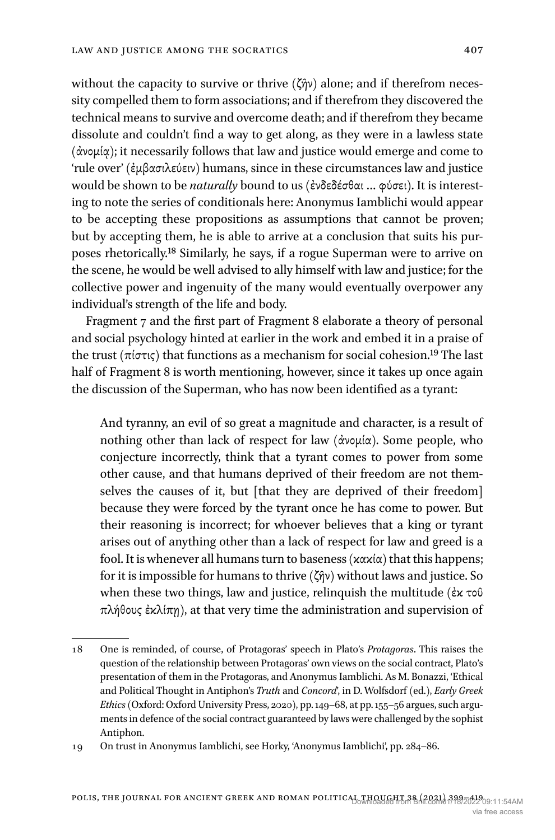without the capacity to survive or thrive (ζῆν) alone; and if therefrom necessity compelled them to form associations; and if therefrom they discovered the technical means to survive and overcome death; and if therefrom they became dissolute and couldn't find a way to get along, as they were in a lawless state (ἀνομίᾳ); it necessarily follows that law and justice would emerge and come to 'rule over' (ἐμβασιλεύειν) humans, since in these circumstances law and justice would be shown to be *naturally* bound to us (ἐνδεδέσθαι … φύσει). It is interesting to note the series of conditionals here: Anonymus Iamblichi would appear to be accepting these propositions as assumptions that cannot be proven; but by accepting them, he is able to arrive at a conclusion that suits his purposes rhetorically.18 Similarly, he says, if a rogue Superman were to arrive on the scene, he would be well advised to ally himself with law and justice; for the collective power and ingenuity of the many would eventually overpower any individual's strength of the life and body.

Fragment 7 and the first part of Fragment 8 elaborate a theory of personal and social psychology hinted at earlier in the work and embed it in a praise of the trust (πίστις) that functions as a mechanism for social cohesion.<sup>19</sup> The last half of Fragment 8 is worth mentioning, however, since it takes up once again the discussion of the Superman, who has now been identified as a tyrant:

And tyranny, an evil of so great a magnitude and character, is a result of nothing other than lack of respect for law (ἀνομία). Some people, who conjecture incorrectly, think that a tyrant comes to power from some other cause, and that humans deprived of their freedom are not themselves the causes of it, but [that they are deprived of their freedom] because they were forced by the tyrant once he has come to power. But their reasoning is incorrect; for whoever believes that a king or tyrant arises out of anything other than a lack of respect for law and greed is a fool. It is whenever all humans turn to baseness (κακία) that this happens; for it is impossible for humans to thrive (ζῆν) without laws and justice. So when these two things, law and justice, relinquish the multitude (ἐκ τοῦ πλήθους ἐκλίπῃ), at that very time the administration and supervision of

<sup>18</sup> One is reminded, of course, of Protagoras' speech in Plato's *Protagoras*. This raises the question of the relationship between Protagoras' own views on the social contract, Plato's presentation of them in the Protagoras, and Anonymus Iamblichi. As M. Bonazzi, 'Ethical and Political Thought in Antiphon's *Truth* and *Concord*', in D. Wolfsdorf (ed.), *Early Greek Ethics* (Oxford: Oxford University Press, 2020), pp. 149–68, at pp. 155–56 argues, such arguments in defence of the social contract guaranteed by laws were challenged by the sophist Antiphon.

<sup>19</sup> On trust in Anonymus Iamblichi, see Horky, 'Anonymus Iamblichi', pp. 284–86.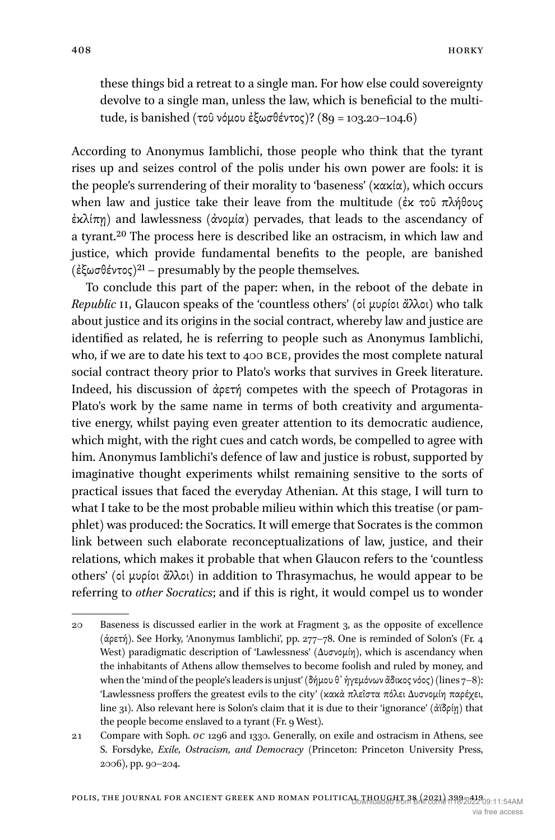these things bid a retreat to a single man. For how else could sovereignty devolve to a single man, unless the law, which is beneficial to the multitude, is banished (τοῦ νόμου ἐξωσθέντος)? (89 = 103.20–104.6)

According to Anonymus Iamblichi, those people who think that the tyrant rises up and seizes control of the polis under his own power are fools: it is the people's surrendering of their morality to 'baseness' (κακία), which occurs when law and justice take their leave from the multitude (ἐκ τοῦ πλήθους  $\epsilon$ κλίπη) and lawlessness (ἀνομία) pervades, that leads to the ascendancy of a tyrant.20 The process here is described like an ostracism, in which law and justice, which provide fundamental benefits to the people, are banished (ἐξωσθέντος)21 – presumably by the people themselves.

To conclude this part of the paper: when, in the reboot of the debate in *Republic* II, Glaucon speaks of the 'countless others' (οἱ μυρίοι ἄλλοι) who talk about justice and its origins in the social contract, whereby law and justice are identified as related, he is referring to people such as Anonymus Iamblichi, who, if we are to date his text to 400 BCE, provides the most complete natural social contract theory prior to Plato's works that survives in Greek literature. Indeed, his discussion of ἀρετή competes with the speech of Protagoras in Plato's work by the same name in terms of both creativity and argumentative energy, whilst paying even greater attention to its democratic audience, which might, with the right cues and catch words, be compelled to agree with him. Anonymus Iamblichi's defence of law and justice is robust, supported by imaginative thought experiments whilst remaining sensitive to the sorts of practical issues that faced the everyday Athenian. At this stage, I will turn to what I take to be the most probable milieu within which this treatise (or pamphlet) was produced: the Socratics. It will emerge that Socrates is the common link between such elaborate reconceptualizations of law, justice, and their relations, which makes it probable that when Glaucon refers to the 'countless others' (οἱ μυρίοι ἄλλοι) in addition to Thrasymachus, he would appear to be referring to *other Socratics*; and if this is right, it would compel us to wonder

<sup>20</sup> Baseness is discussed earlier in the work at Fragment 3, as the opposite of excellence (ἀρετή). See Horky, 'Anonymus Iamblichi', pp. 277–78. One is reminded of Solon's (Fr. 4 West) paradigmatic description of 'Lawlessness' (Δυσνομίη), which is ascendancy when the inhabitants of Athens allow themselves to become foolish and ruled by money, and when the 'mind of the people's leaders is unjust' (δήμου θ' ήγεμόνων ἄδικος νόος) (lines 7-8): 'Lawlessness proffers the greatest evils to the city' (κακὰ πλεῖστα πόλει Δυσνομίη παρέχει, line 31). Also relevant here is Solon's claim that it is due to their 'ignorance' (ἀϊδρίη) that the people become enslaved to a tyrant (Fr. 9 West).

<sup>21</sup> Compare with Soph. *OC* 1296 and 1330. Generally, on exile and ostracism in Athens, see S. Forsdyke, *Exile, Ostracism, and Democracy* (Princeton: Princeton University Press, 2006), pp. 90–204.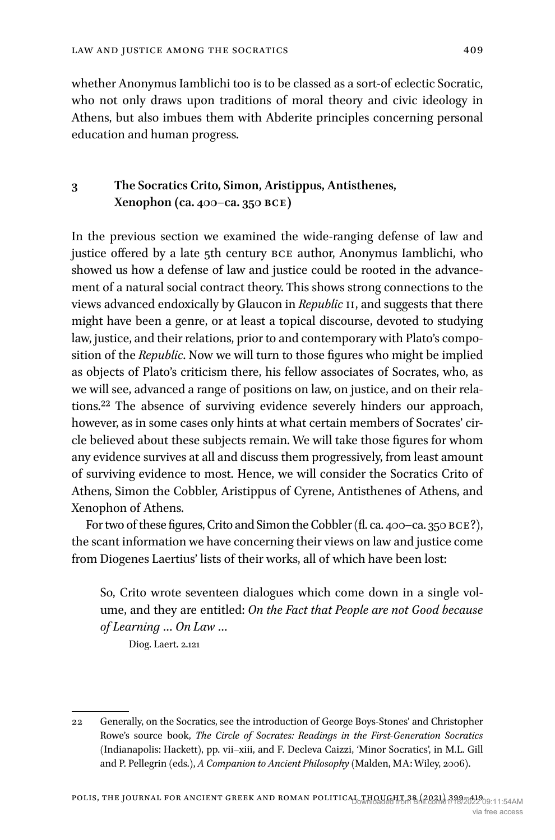whether Anonymus Iamblichi too is to be classed as a sort-of eclectic Socratic, who not only draws upon traditions of moral theory and civic ideology in Athens, but also imbues them with Abderite principles concerning personal education and human progress.

## **3 The Socratics Crito, Simon, Aristippus, Antisthenes, Xenophon (ca. 400–ca. 350 BCE)**

In the previous section we examined the wide-ranging defense of law and justice offered by a late 5th century BCE author, Anonymus Iamblichi, who showed us how a defense of law and justice could be rooted in the advancement of a natural social contract theory. This shows strong connections to the views advanced endoxically by Glaucon in *Republic* II, and suggests that there might have been a genre, or at least a topical discourse, devoted to studying law, justice, and their relations, prior to and contemporary with Plato's composition of the *Republic*. Now we will turn to those figures who might be implied as objects of Plato's criticism there, his fellow associates of Socrates, who, as we will see, advanced a range of positions on law, on justice, and on their relations.22 The absence of surviving evidence severely hinders our approach, however, as in some cases only hints at what certain members of Socrates' circle believed about these subjects remain. We will take those figures for whom any evidence survives at all and discuss them progressively, from least amount of surviving evidence to most. Hence, we will consider the Socratics Crito of Athens, Simon the Cobbler, Aristippus of Cyrene, Antisthenes of Athens, and Xenophon of Athens.

For two of these figures, Crito and Simon the Cobbler (fl. ca. 400–ca. 350 BCE?), the scant information we have concerning their views on law and justice come from Diogenes Laertius' lists of their works, all of which have been lost:

So, Crito wrote seventeen dialogues which come down in a single volume, and they are entitled: *On the Fact that People are not Good because of Learning* … *On Law* …

Diog. Laert. 2.121

<sup>22</sup> Generally, on the Socratics, see the introduction of George Boys-Stones' and Christopher Rowe's source book, *The Circle of Socrates: Readings in the First-Generation Socratics* (Indianapolis: Hackett), pp. vii–xiii, and F. Decleva Caizzi, 'Minor Socratics', in M.L. Gill and P. Pellegrin (eds.), *A Companion to Ancient Philosophy* (Malden, MA: Wiley, 2006).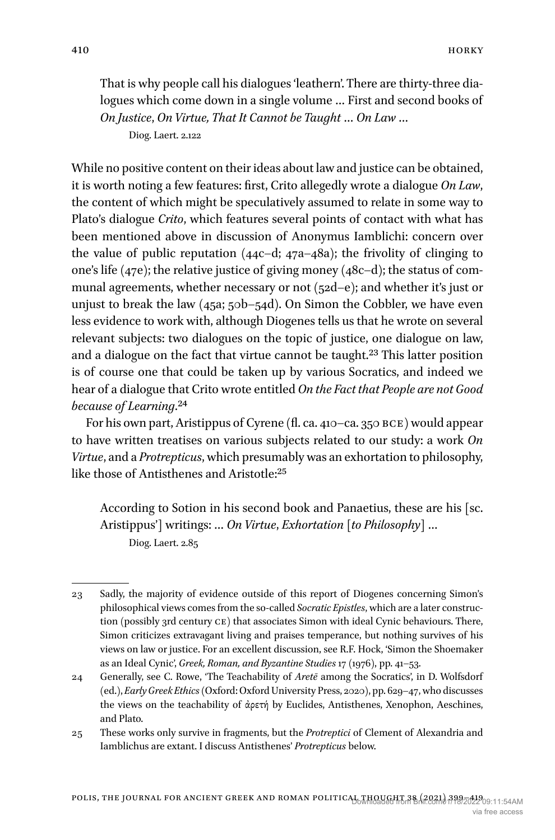That is why people call his dialogues 'leathern'. There are thirty-three dialogues which come down in a single volume … First and second books of *On Justice*, *On Virtue, That It Cannot be Taught* … *On Law* …

Diog. Laert. 2.122

While no positive content on their ideas about law and justice can be obtained, it is worth noting a few features: first, Crito allegedly wrote a dialogue *On Law*, the content of which might be speculatively assumed to relate in some way to Plato's dialogue *Crito*, which features several points of contact with what has been mentioned above in discussion of Anonymus Iamblichi: concern over the value of public reputation  $(44c-d; 47a-48a)$ ; the frivolity of clinging to one's life (47e); the relative justice of giving money (48c–d); the status of communal agreements, whether necessary or not (52d–e); and whether it's just or unjust to break the law (45a; 50b–54d). On Simon the Cobbler, we have even less evidence to work with, although Diogenes tells us that he wrote on several relevant subjects: two dialogues on the topic of justice, one dialogue on law, and a dialogue on the fact that virtue cannot be taught.<sup>23</sup> This latter position is of course one that could be taken up by various Socratics, and indeed we hear of a dialogue that Crito wrote entitled *On the Fact that People are not Good because of Learning*.24

For his own part, Aristippus of Cyrene (fl. ca. 410–ca. 350 BCE) would appear to have written treatises on various subjects related to our study: a work *On Virtue*, and a *Protrepticus*, which presumably was an exhortation to philosophy, like those of Antisthenes and Aristotle:25

According to Sotion in his second book and Panaetius, these are his [sc. Aristippus'] writings: … *On Virtue*, *Exhortation* [*to Philosophy*] … Diog. Laert. 2.85

<sup>23</sup> Sadly, the majority of evidence outside of this report of Diogenes concerning Simon's philosophical views comes from the so-called *Socratic Epistles*, which are a later construction (possibly 3rd century CE) that associates Simon with ideal Cynic behaviours. There, Simon criticizes extravagant living and praises temperance, but nothing survives of his views on law or justice. For an excellent discussion, see R.F. Hock, 'Simon the Shoemaker as an Ideal Cynic', *Greek, Roman, and Byzantine Studies* 17 (1976), pp. 41–53.

<sup>24</sup> Generally, see C. Rowe, 'The Teachability of *Aretē* among the Socratics', in D. Wolfsdorf (ed.), *Early Greek Ethics* (Oxford: Oxford University Press, 2020), pp. 629–47, who discusses the views on the teachability of ἀρετή by Euclides, Antisthenes, Xenophon, Aeschines, and Plato.

<sup>25</sup> These works only survive in fragments, but the *Protreptici* of Clement of Alexandria and Iamblichus are extant. I discuss Antisthenes' *Protrepticus* below.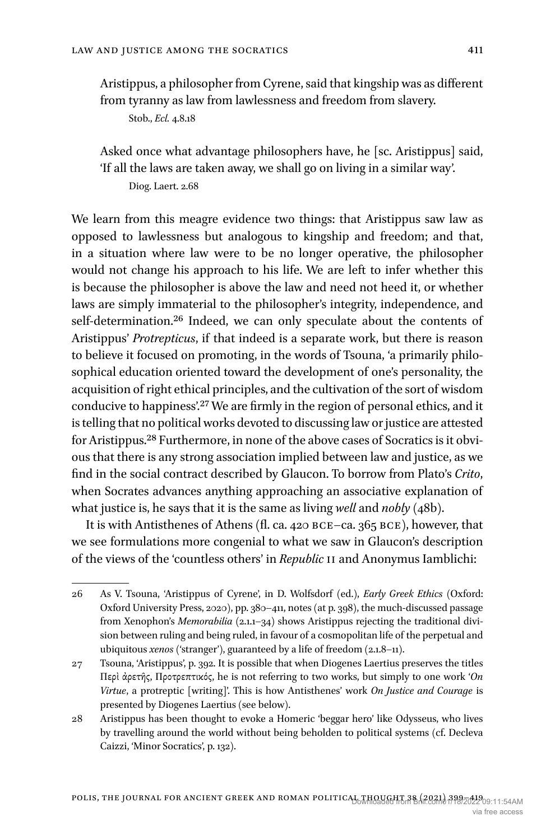Aristippus, a philosopher from Cyrene, said that kingship was as different from tyranny as law from lawlessness and freedom from slavery. Stob., *Ecl.* 4.8.18

Asked once what advantage philosophers have, he [sc. Aristippus] said, 'If all the laws are taken away, we shall go on living in a similar way'. Diog. Laert. 2.68

We learn from this meagre evidence two things: that Aristippus saw law as opposed to lawlessness but analogous to kingship and freedom; and that, in a situation where law were to be no longer operative, the philosopher would not change his approach to his life. We are left to infer whether this is because the philosopher is above the law and need not heed it, or whether laws are simply immaterial to the philosopher's integrity, independence, and self-determination.26 Indeed, we can only speculate about the contents of Aristippus' *Protrepticus*, if that indeed is a separate work, but there is reason to believe it focused on promoting, in the words of Tsouna, 'a primarily philosophical education oriented toward the development of one's personality, the acquisition of right ethical principles, and the cultivation of the sort of wisdom conducive to happiness'.27 We are firmly in the region of personal ethics, and it is telling that no political works devoted to discussing law or justice are attested for Aristippus.28 Furthermore, in none of the above cases of Socratics is it obvious that there is any strong association implied between law and justice, as we find in the social contract described by Glaucon. To borrow from Plato's *Crito*, when Socrates advances anything approaching an associative explanation of what justice is, he says that it is the same as living *well* and *nobly* (48b).

It is with Antisthenes of Athens (fl. ca. 420 BCE–ca. 365 BCE), however, that we see formulations more congenial to what we saw in Glaucon's description of the views of the 'countless others' in *Republic* II and Anonymus Iamblichi:

<sup>26</sup> As V. Tsouna, 'Aristippus of Cyrene', in D. Wolfsdorf (ed.), *Early Greek Ethics* (Oxford: Oxford University Press, 2020), pp. 380–411, notes (at p. 398), the much-discussed passage from Xenophon's *Memorabilia* (2.1.1–34) shows Aristippus rejecting the traditional division between ruling and being ruled, in favour of a cosmopolitan life of the perpetual and ubiquitous *xenos* ('stranger'), guaranteed by a life of freedom (2.1.8–11).

<sup>27</sup> Tsouna, 'Aristippus', p. 392. It is possible that when Diogenes Laertius preserves the titles Περὶ ἀρετῆς, Προτρεπτικός, he is not referring to two works, but simply to one work '*On Virtue*, a protreptic [writing]'. This is how Antisthenes' work *On Justice and Courage* is presented by Diogenes Laertius (see below).

<sup>28</sup> Aristippus has been thought to evoke a Homeric 'beggar hero' like Odysseus, who lives by travelling around the world without being beholden to political systems (cf. Decleva Caizzi, 'Minor Socratics', p. 132).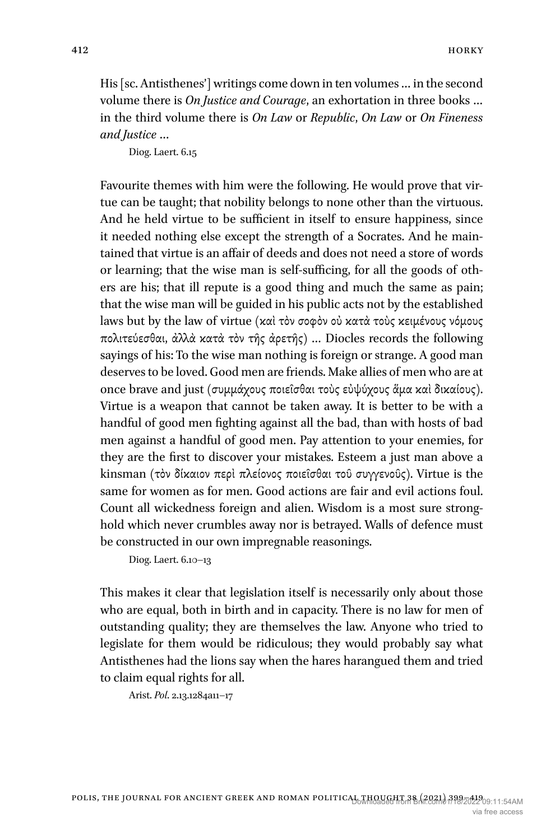His [sc. Antisthenes'] writings come down in ten volumes … in the second volume there is *On Justice and Courage*, an exhortation in three books … in the third volume there is *On Law* or *Republic*, *On Law* or *On Fineness and Justice* …

Diog. Laert. 6.15

Favourite themes with him were the following. He would prove that virtue can be taught; that nobility belongs to none other than the virtuous. And he held virtue to be sufficient in itself to ensure happiness, since it needed nothing else except the strength of a Socrates. And he maintained that virtue is an affair of deeds and does not need a store of words or learning; that the wise man is self-sufficing, for all the goods of others are his; that ill repute is a good thing and much the same as pain; that the wise man will be guided in his public acts not by the established laws but by the law of virtue (καὶ τὸν σοφὸν οὐ κατὰ τοὺς κειμένους νόμους πολιτεύεσθαι, ἀλλὰ κατὰ τὸν τῆς ἀρετῆς) … Diocles records the following sayings of his: To the wise man nothing is foreign or strange. A good man deserves to be loved. Good men are friends. Make allies of men who are at once brave and just (συμμάχους ποιεῖσθαι τοὺς εὐψύχους ἅμα καὶ δικαίους). Virtue is a weapon that cannot be taken away. It is better to be with a handful of good men fighting against all the bad, than with hosts of bad men against a handful of good men. Pay attention to your enemies, for they are the first to discover your mistakes. Esteem a just man above a kinsman (τὸν δίκαιον περὶ πλείονος ποιεῖσθαι τοῦ συγγενοῦς). Virtue is the same for women as for men. Good actions are fair and evil actions foul. Count all wickedness foreign and alien. Wisdom is a most sure stronghold which never crumbles away nor is betrayed. Walls of defence must be constructed in our own impregnable reasonings.

Diog. Laert. 6.10–13

This makes it clear that legislation itself is necessarily only about those who are equal, both in birth and in capacity. There is no law for men of outstanding quality; they are themselves the law. Anyone who tried to legislate for them would be ridiculous; they would probably say what Antisthenes had the lions say when the hares harangued them and tried to claim equal rights for all.

Arist. *Pol*. 2.13.1284a11–17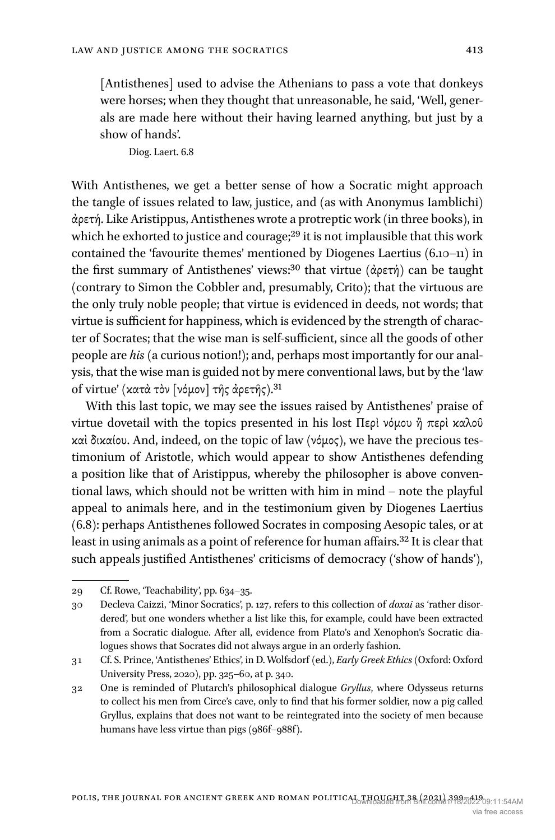[Antisthenes] used to advise the Athenians to pass a vote that donkeys were horses; when they thought that unreasonable, he said, 'Well, generals are made here without their having learned anything, but just by a show of hands'.

Diog. Laert. 6.8

With Antisthenes, we get a better sense of how a Socratic might approach the tangle of issues related to law, justice, and (as with Anonymus Iamblichi) ἀρετή. Like Aristippus, Antisthenes wrote a protreptic work (in three books), in which he exhorted to justice and courage;<sup>29</sup> it is not implausible that this work contained the 'favourite themes' mentioned by Diogenes Laertius (6.10–11) in the first summary of Antisthenes' views:30 that virtue (ἀρετή) can be taught (contrary to Simon the Cobbler and, presumably, Crito); that the virtuous are the only truly noble people; that virtue is evidenced in deeds, not words; that virtue is sufficient for happiness, which is evidenced by the strength of character of Socrates; that the wise man is self-sufficient, since all the goods of other people are *his* (a curious notion!); and, perhaps most importantly for our analysis, that the wise man is guided not by mere conventional laws, but by the 'law of virtue' (κατὰ τὸν [νόμον] τῆς ἀρετῆς).31

With this last topic, we may see the issues raised by Antisthenes' praise of virtue dovetail with the topics presented in his lost Περὶ νόμου ἢ περὶ καλοῦ καὶ δικαίου. And, indeed, on the topic of law (νόμος), we have the precious testimonium of Aristotle, which would appear to show Antisthenes defending a position like that of Aristippus, whereby the philosopher is above conventional laws, which should not be written with him in mind – note the playful appeal to animals here, and in the testimonium given by Diogenes Laertius (6.8): perhaps Antisthenes followed Socrates in composing Aesopic tales, or at least in using animals as a point of reference for human affairs.32 It is clear that such appeals justified Antisthenes' criticisms of democracy ('show of hands'),

<sup>29</sup> Cf. Rowe, 'Teachability', pp. 634–35.

<sup>30</sup> Decleva Caizzi, 'Minor Socratics', p. 127, refers to this collection of *doxai* as 'rather disordered', but one wonders whether a list like this, for example, could have been extracted from a Socratic dialogue. After all, evidence from Plato's and Xenophon's Socratic dialogues shows that Socrates did not always argue in an orderly fashion.

<sup>31</sup> Cf. S. Prince, 'Antisthenes' Ethics', in D. Wolfsdorf (ed.), *Early Greek Ethics* (Oxford: Oxford University Press, 2020), pp. 325–60, at p. 340.

<sup>32</sup> One is reminded of Plutarch's philosophical dialogue *Gryllus*, where Odysseus returns to collect his men from Circe's cave, only to find that his former soldier, now a pig called Gryllus, explains that does not want to be reintegrated into the society of men because humans have less virtue than pigs (986f–988f).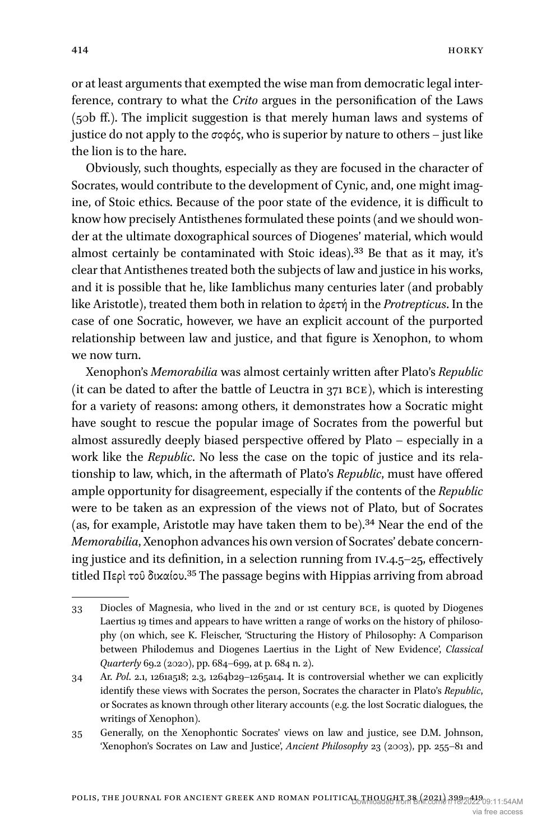or at least arguments that exempted the wise man from democratic legal interference, contrary to what the *Crito* argues in the personification of the Laws (50b ff.). The implicit suggestion is that merely human laws and systems of justice do not apply to the σοφός, who is superior by nature to others – just like the lion is to the hare.

Obviously, such thoughts, especially as they are focused in the character of Socrates, would contribute to the development of Cynic, and, one might imagine, of Stoic ethics. Because of the poor state of the evidence, it is difficult to know how precisely Antisthenes formulated these points (and we should wonder at the ultimate doxographical sources of Diogenes' material, which would almost certainly be contaminated with Stoic ideas).33 Be that as it may, it's clear that Antisthenes treated both the subjects of law and justice in his works, and it is possible that he, like Iamblichus many centuries later (and probably like Aristotle), treated them both in relation to ἀρετή in the *Protrepticus*. In the case of one Socratic, however, we have an explicit account of the purported relationship between law and justice, and that figure is Xenophon, to whom we now turn.

Xenophon's *Memorabilia* was almost certainly written after Plato's *Republic* (it can be dated to after the battle of Leuctra in 371 BCE), which is interesting for a variety of reasons: among others, it demonstrates how a Socratic might have sought to rescue the popular image of Socrates from the powerful but almost assuredly deeply biased perspective offered by Plato – especially in a work like the *Republic*. No less the case on the topic of justice and its relationship to law, which, in the aftermath of Plato's *Republic*, must have offered ample opportunity for disagreement, especially if the contents of the *Republic* were to be taken as an expression of the views not of Plato, but of Socrates (as, for example, Aristotle may have taken them to be).34 Near the end of the *Memorabilia*, Xenophon advances his own version of Socrates' debate concerning justice and its definition, in a selection running from IV.4.5–25, effectively titled Περὶ τοῦ δικαίου.35 The passage begins with Hippias arriving from abroad

<sup>33</sup> Diocles of Magnesia, who lived in the 2nd or 1st century BCE, is quoted by Diogenes Laertius 19 times and appears to have written a range of works on the history of philosophy (on which, see K. Fleischer, 'Structuring the History of Philosophy: A Comparison between Philodemus and Diogenes Laertius in the Light of New Evidence', *Classical Quarterly* 69.2 (2020), pp. 684–699, at p. 684 n. 2).

<sup>34</sup> Ar. *Pol*. 2.1, 1261a518; 2.3, 1264b29–1265a14. It is controversial whether we can explicitly identify these views with Socrates the person, Socrates the character in Plato's *Republic*, or Socrates as known through other literary accounts (e.g. the lost Socratic dialogues, the writings of Xenophon).

<sup>35</sup> Generally, on the Xenophontic Socrates' views on law and justice, see D.M. Johnson, 'Xenophon's Socrates on Law and Justice', *Ancient Philosophy* 23 (2003), pp. 255–81 and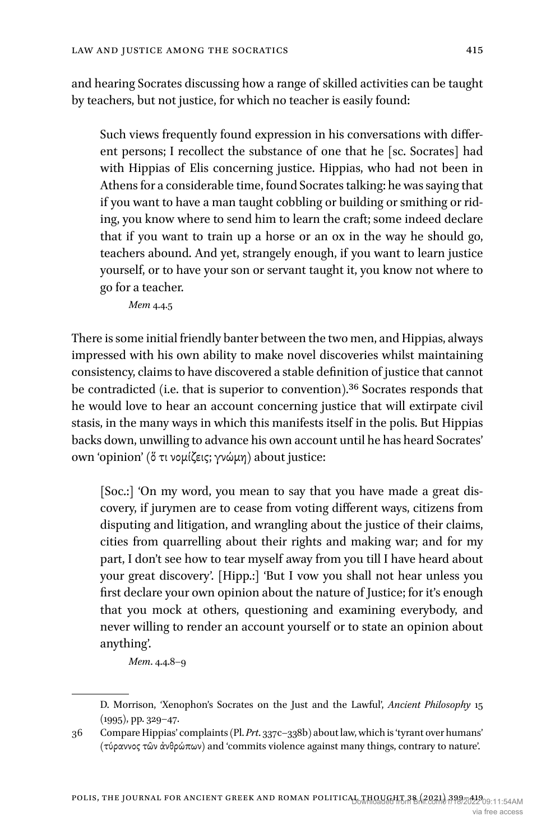and hearing Socrates discussing how a range of skilled activities can be taught by teachers, but not justice, for which no teacher is easily found:

Such views frequently found expression in his conversations with different persons; I recollect the substance of one that he [sc. Socrates] had with Hippias of Elis concerning justice. Hippias, who had not been in Athens for a considerable time, found Socrates talking: he was saying that if you want to have a man taught cobbling or building or smithing or riding, you know where to send him to learn the craft; some indeed declare that if you want to train up a horse or an ox in the way he should go, teachers abound. And yet, strangely enough, if you want to learn justice yourself, or to have your son or servant taught it, you know not where to go for a teacher.

*Mem* 4.4.5

There is some initial friendly banter between the two men, and Hippias, always impressed with his own ability to make novel discoveries whilst maintaining consistency, claims to have discovered a stable definition of justice that cannot be contradicted (i.e. that is superior to convention).36 Socrates responds that he would love to hear an account concerning justice that will extirpate civil stasis, in the many ways in which this manifests itself in the polis. But Hippias backs down, unwilling to advance his own account until he has heard Socrates' own 'opinion' (ὅ τι νομίζεις; γνώμη) about justice:

[Soc.:] 'On my word, you mean to say that you have made a great discovery, if jurymen are to cease from voting different ways, citizens from disputing and litigation, and wrangling about the justice of their claims, cities from quarrelling about their rights and making war; and for my part, I don't see how to tear myself away from you till I have heard about your great discovery'. [Hipp.:] 'But I vow you shall not hear unless you first declare your own opinion about the nature of Justice; for it's enough that you mock at others, questioning and examining everybody, and never willing to render an account yourself or to state an opinion about anything'.

*Mem*. 4.4.8–9

D. Morrison, 'Xenophon's Socrates on the Just and the Lawful', *Ancient Philosophy* 15 (1995), pp. 329–47.

<sup>36</sup> Compare Hippias' complaints (Pl. *Prt*. 337c–338b) about law, which is 'tyrant over humans' (τύραννος τῶν ἀνθρώπων) and 'commits violence against many things, contrary to nature'.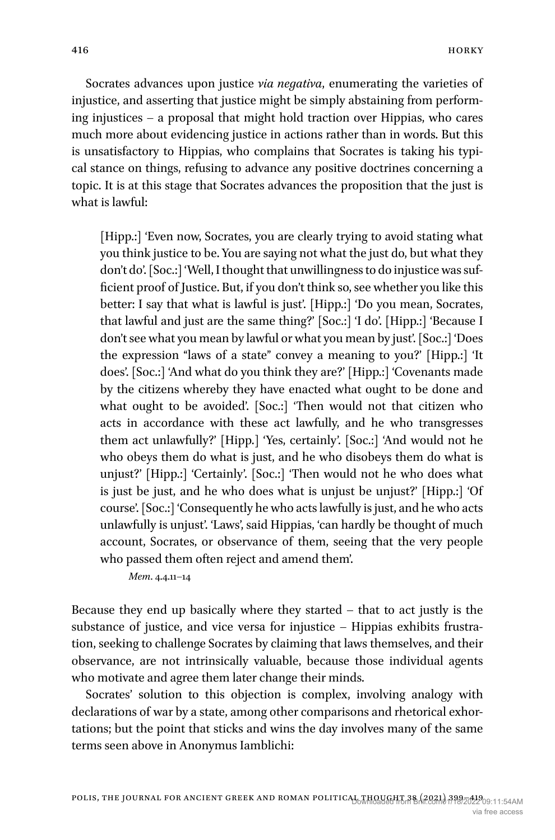Socrates advances upon justice *via negativa*, enumerating the varieties of injustice, and asserting that justice might be simply abstaining from performing injustices – a proposal that might hold traction over Hippias, who cares much more about evidencing justice in actions rather than in words. But this is unsatisfactory to Hippias, who complains that Socrates is taking his typical stance on things, refusing to advance any positive doctrines concerning a topic. It is at this stage that Socrates advances the proposition that the just is what is lawful:

[Hipp.:] 'Even now, Socrates, you are clearly trying to avoid stating what you think justice to be. You are saying not what the just do, but what they don't do'. [Soc.:] 'Well, I thought that unwillingness to do injustice was sufficient proof of Justice. But, if you don't think so, see whether you like this better: I say that what is lawful is just'. [Hipp.:] 'Do you mean, Socrates, that lawful and just are the same thing?' [Soc.:] 'I do'. [Hipp.:] 'Because I don't see what you mean by lawful or what you mean by just'. [Soc.:] 'Does the expression "laws of a state" convey a meaning to you?' [Hipp.:] 'It does'. [Soc.:] 'And what do you think they are?' [Hipp.:] 'Covenants made by the citizens whereby they have enacted what ought to be done and what ought to be avoided'. [Soc.:] 'Then would not that citizen who acts in accordance with these act lawfully, and he who transgresses them act unlawfully?' [Hipp.] 'Yes, certainly'. [Soc.:] 'And would not he who obeys them do what is just, and he who disobeys them do what is unjust?' [Hipp.:] 'Certainly'. [Soc.:] 'Then would not he who does what is just be just, and he who does what is unjust be unjust?' [Hipp.:] 'Of course'. [Soc.:] 'Consequently he who acts lawfully is just, and he who acts unlawfully is unjust'. 'Laws', said Hippias, 'can hardly be thought of much account, Socrates, or observance of them, seeing that the very people who passed them often reject and amend them'.

*Mem*. 4.4.11–14

Because they end up basically where they started – that to act justly is the substance of justice, and vice versa for injustice – Hippias exhibits frustration, seeking to challenge Socrates by claiming that laws themselves, and their observance, are not intrinsically valuable, because those individual agents who motivate and agree them later change their minds.

Socrates' solution to this objection is complex, involving analogy with declarations of war by a state, among other comparisons and rhetorical exhortations; but the point that sticks and wins the day involves many of the same terms seen above in Anonymus Iamblichi: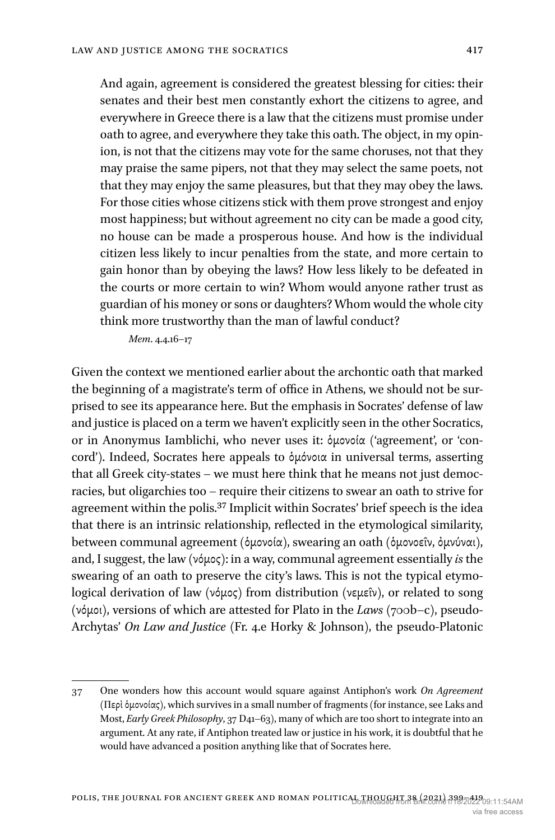And again, agreement is considered the greatest blessing for cities: their senates and their best men constantly exhort the citizens to agree, and everywhere in Greece there is a law that the citizens must promise under oath to agree, and everywhere they take this oath. The object, in my opinion, is not that the citizens may vote for the same choruses, not that they may praise the same pipers, not that they may select the same poets, not that they may enjoy the same pleasures, but that they may obey the laws. For those cities whose citizens stick with them prove strongest and enjoy most happiness; but without agreement no city can be made a good city, no house can be made a prosperous house. And how is the individual citizen less likely to incur penalties from the state, and more certain to gain honor than by obeying the laws? How less likely to be defeated in the courts or more certain to win? Whom would anyone rather trust as guardian of his money or sons or daughters? Whom would the whole city think more trustworthy than the man of lawful conduct?

*Mem*. 4.4.16–17

Given the context we mentioned earlier about the archontic oath that marked the beginning of a magistrate's term of office in Athens, we should not be surprised to see its appearance here. But the emphasis in Socrates' defense of law and justice is placed on a term we haven't explicitly seen in the other Socratics, or in Anonymus Iamblichi, who never uses it: ὁμονοία ('agreement', or 'concord'). Indeed, Socrates here appeals to ὁμόνοια in universal terms, asserting that all Greek city-states – we must here think that he means not just democracies, but oligarchies too – require their citizens to swear an oath to strive for agreement within the polis.37 Implicit within Socrates' brief speech is the idea that there is an intrinsic relationship, reflected in the etymological similarity, between communal agreement (ὁμονοία), swearing an oath (ὁμονοεῖν, ὀμνύναι), and, I suggest, the law (νόμος): in a way, communal agreement essentially *is* the swearing of an oath to preserve the city's laws. This is not the typical etymological derivation of law (νόμος) from distribution (νεμεῖν), or related to song (νόμοι), versions of which are attested for Plato in the *Laws* (700b–c), pseudo-Archytas' *On Law and Justice* (Fr. 4.e Horky & Johnson), the pseudo-Platonic

<sup>37</sup> One wonders how this account would square against Antiphon's work *On Agreement* (Περὶὁμονοίας), which survives in a small number of fragments (for instance, see Laks and Most, *Early Greek Philosophy*, 37 D41–63), many of which are too short to integrate into an argument. At any rate, if Antiphon treated law or justice in his work, it is doubtful that he would have advanced a position anything like that of Socrates here.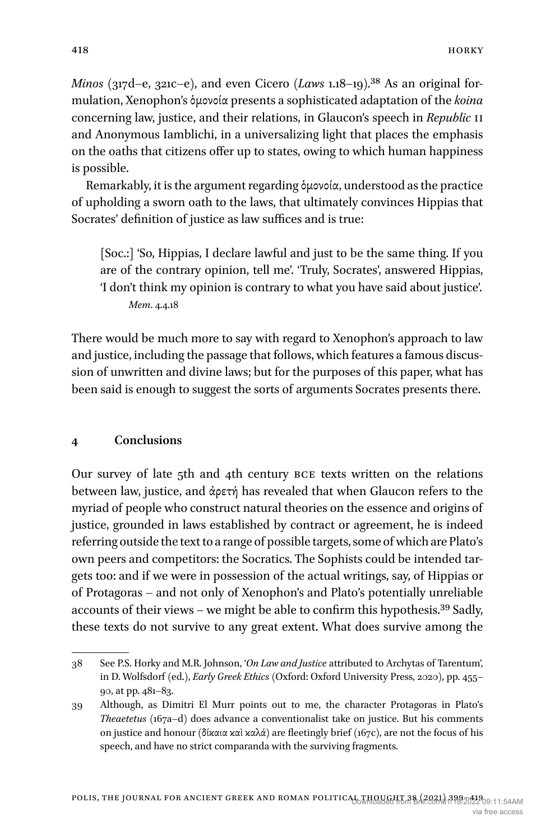*Minos* (317d–e, 321c–e), and even Cicero (*Laws* 1.18–19).38 As an original formulation, Xenophon's ὁμονοία presents a sophisticated adaptation of the *koina* concerning law, justice, and their relations, in Glaucon's speech in *Republic* II and Anonymous Iamblichi, in a universalizing light that places the emphasis on the oaths that citizens offer up to states, owing to which human happiness is possible.

Remarkably, it is the argument regarding ὁμονοία, understood as the practice of upholding a sworn oath to the laws, that ultimately convinces Hippias that Socrates' definition of justice as law suffices and is true:

[Soc.:] 'So, Hippias, I declare lawful and just to be the same thing. If you are of the contrary opinion, tell me'. 'Truly, Socrates', answered Hippias, 'I don't think my opinion is contrary to what you have said about justice'. *Mem*. 4.4.18

There would be much more to say with regard to Xenophon's approach to law and justice, including the passage that follows, which features a famous discussion of unwritten and divine laws; but for the purposes of this paper, what has been said is enough to suggest the sorts of arguments Socrates presents there.

#### **4 Conclusions**

Our survey of late 5th and 4th century BCE texts written on the relations between law, justice, and ἀρετή has revealed that when Glaucon refers to the myriad of people who construct natural theories on the essence and origins of justice, grounded in laws established by contract or agreement, he is indeed referring outside the text to a range of possible targets, some of which are Plato's own peers and competitors: the Socratics. The Sophists could be intended targets too: and if we were in possession of the actual writings, say, of Hippias or of Protagoras – and not only of Xenophon's and Plato's potentially unreliable accounts of their views – we might be able to confirm this hypothesis.39 Sadly, these texts do not survive to any great extent. What does survive among the

<sup>38</sup> See P.S. Horky and M.R. Johnson, '*On Law and Justice* attributed to Archytas of Tarentum', in D. Wolfsdorf (ed.), *Early Greek Ethics* (Oxford: Oxford University Press, 2020), pp. 455– 90, at pp. 481–83.

<sup>39</sup> Although, as Dimitri El Murr points out to me, the character Protagoras in Plato's *Theaetetus* (167a–d) does advance a conventionalist take on justice. But his comments on justice and honour (δίκαια καὶ καλά) are fleetingly brief (167c), are not the focus of his speech, and have no strict comparanda with the surviving fragments.